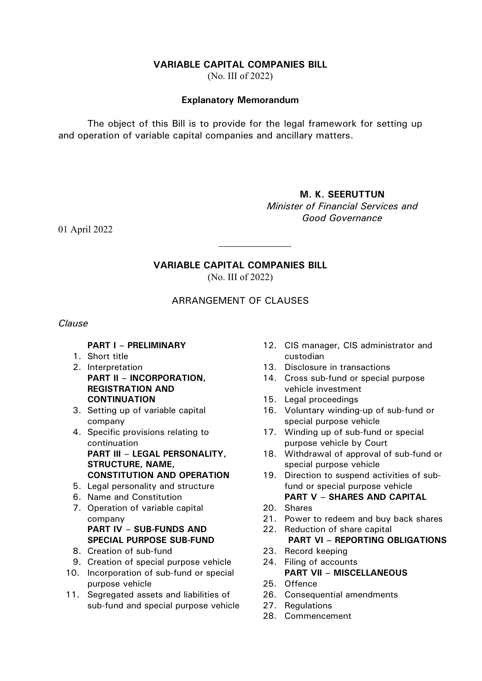### **VARIABLE CAPITAL COMPANIES BILL**

(No. III of 2022)

#### **Explanatory Memorandum**

The object of this Bill is to provide for the legal framework for setting up and operation of variable capital companies and ancillary matters.

### **M. K. SEERUTTUN**

*Minister of Financial Services and Good Governance*

01 April 2022

# **VARIABLE CAPITAL COMPANIES BILL**

 $\mathcal{L}_\text{max}$ 

(No. III of 2022)

# ARRANGEMENT OF CLAUSES

#### *Clause*

#### **PART I – PRELIMINARY**

- 1. Short title
- 2. Interpretation **PART II – INCORPORATION, REGISTRATION AND CONTINUATION**
- 3. Setting up of variable capital company
- 4. Specific provisions relating to continuation **PART III – LEGAL PERSONALITY, STRUCTURE, NAME, CONSTITUTION AND OPERATION**
- 5. Legal personality and structure
- 6. Name and Constitution
- 7. Operation of variable capital company **PART IV – SUB-FUNDS AND SPECIAL PURPOSE SUB-FUND**
- 8. Creation of sub-fund
- 9. Creation of special purpose vehicle
- 10. Incorporation of sub-fund or special purpose vehicle
- 11. Segregated assets and liabilities of sub-fund and special purpose vehicle
- 12. CIS manager, CIS administrator and custodian
- 13. Disclosure in transactions
- 14. Cross sub-fund or special purpose vehicle investment
- 15. Legal proceedings
- 16. Voluntary winding-up of sub-fund or special purpose vehicle
- 17. Winding up of sub-fund or special purpose vehicle by Court
- 18. Withdrawal of approval of sub-fund or special purpose vehicle
- 19. Direction to suspend activities of subfund or special purpose vehicle **PART V – SHARES AND CAPITAL**
- 20. Shares
- 21. Power to redeem and buy back shares
- 22. Reduction of share capital **PART VI – REPORTING OBLIGATIONS**
- 23. Record keeping
- 24. Filing of accounts **PART VII – MISCELLANEOUS**
- 25. Offence
- 26. Consequential amendments
- 27. Regulations
- 28. Commencement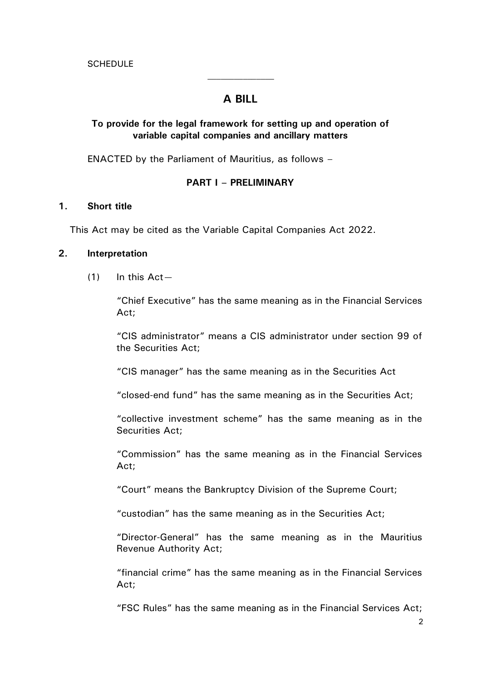# **A BILL**

 $\mathcal{L}_\text{max}$ 

## **To provide for the legal framework for setting up and operation of variable capital companies and ancillary matters**

ENACTED by the Parliament of Mauritius, as follows –

#### **PART I – PRELIMINARY**

#### **1. Short title**

This Act may be cited as the Variable Capital Companies Act 2022.

### **2. Interpretation**

 $(1)$  In this Act —

"Chief Executive" has the same meaning as in the Financial Services Act;

"CIS administrator" means a CIS administrator under section 99 of the Securities Act;

"CIS manager" has the same meaning as in the Securities Act

"closed-end fund" has the same meaning as in the Securities Act;

"collective investment scheme" has the same meaning as in the Securities Act;

"Commission" has the same meaning as in the Financial Services Act;

"Court" means the Bankruptcy Division of the Supreme Court;

"custodian" has the same meaning as in the Securities Act;

"Director-General" has the same meaning as in the Mauritius Revenue Authority Act;

"financial crime" has the same meaning as in the Financial Services Act;

"FSC Rules" has the same meaning as in the Financial Services Act;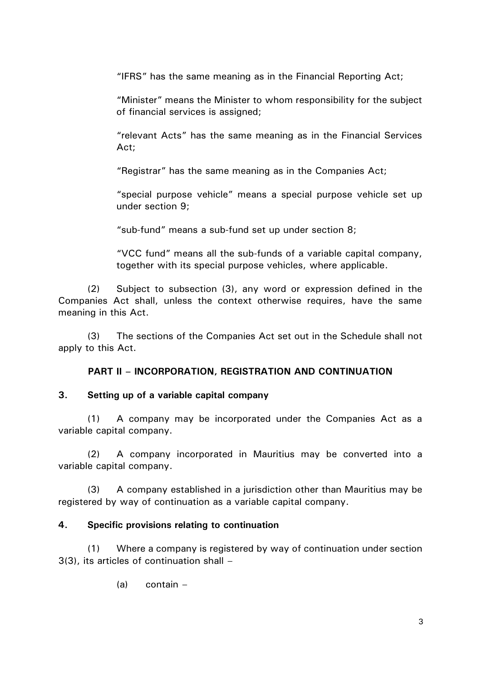"IFRS" has the same meaning as in the Financial Reporting Act;

"Minister" means the Minister to whom responsibility for the subject of financial services is assigned;

"relevant Acts" has the same meaning as in the Financial Services Act;

"Registrar" has the same meaning as in the Companies Act;

"special purpose vehicle" means a special purpose vehicle set up under section 9;

"sub-fund" means a sub-fund set up under section 8;

"VCC fund" means all the sub-funds of a variable capital company, together with its special purpose vehicles, where applicable.

(2) Subject to subsection (3), any word or expression defined in the Companies Act shall, unless the context otherwise requires, have the same meaning in this Act.

(3) The sections of the Companies Act set out in the Schedule shall not apply to this Act.

## **PART II – INCORPORATION, REGISTRATION AND CONTINUATION**

#### **3. Setting up of a variable capital company**

(1) A company may be incorporated under the Companies Act as a variable capital company.

(2) A company incorporated in Mauritius may be converted into a variable capital company.

(3) A company established in a jurisdiction other than Mauritius may be registered by way of continuation as a variable capital company.

### **4. Specific provisions relating to continuation**

(1) Where a company is registered by way of continuation under section 3(3), its articles of continuation shall –

(a) contain –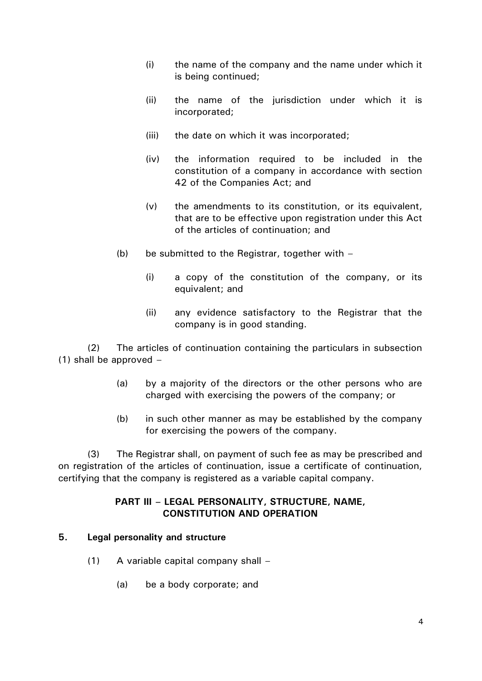- (i) the name of the company and the name under which it is being continued;
- (ii) the name of the jurisdiction under which it is incorporated;
- (iii) the date on which it was incorporated;
- (iv) the information required to be included in the constitution of a company in accordance with section 42 of the Companies Act; and
- (v) the amendments to its constitution, or its equivalent, that are to be effective upon registration under this Act of the articles of continuation; and
- (b) be submitted to the Registrar, together with  $-$ 
	- (i) a copy of the constitution of the company, or its equivalent; and
	- (ii) any evidence satisfactory to the Registrar that the company is in good standing.

(2) The articles of continuation containing the particulars in subsection (1) shall be approved –

- (a) by a majority of the directors or the other persons who are charged with exercising the powers of the company; or
- (b) in such other manner as may be established by the company for exercising the powers of the company.

(3) The Registrar shall, on payment of such fee as may be prescribed and on registration of the articles of continuation, issue a certificate of continuation, certifying that the company is registered as a variable capital company.

### **PART III – LEGAL PERSONALITY, STRUCTURE, NAME, CONSTITUTION AND OPERATION**

#### **5. Legal personality and structure**

- (1) A variable capital company shall
	- (a) be a body corporate; and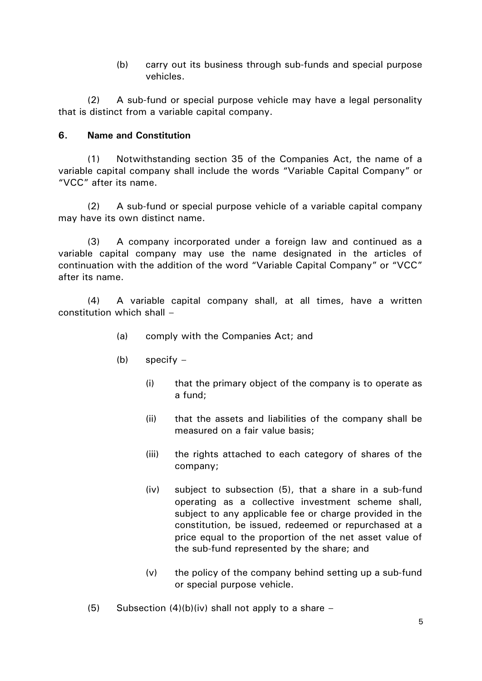(b) carry out its business through sub-funds and special purpose vehicles.

(2) A sub-fund or special purpose vehicle may have a legal personality that is distinct from a variable capital company.

# **6. Name and Constitution**

(1) Notwithstanding section 35 of the Companies Act, the name of a variable capital company shall include the words "Variable Capital Company" or "VCC" after its name.

(2) A sub-fund or special purpose vehicle of a variable capital company may have its own distinct name.

(3) A company incorporated under a foreign law and continued as a variable capital company may use the name designated in the articles of continuation with the addition of the word "Variable Capital Company" or "VCC" after its name.

(4) A variable capital company shall, at all times, have a written constitution which shall –

- (a) comply with the Companies Act; and
- (b) specify
	- (i) that the primary object of the company is to operate as a fund;
	- (ii) that the assets and liabilities of the company shall be measured on a fair value basis;
	- (iii) the rights attached to each category of shares of the company;
	- (iv) subject to subsection (5), that a share in a sub-fund operating as a collective investment scheme shall, subject to any applicable fee or charge provided in the constitution, be issued, redeemed or repurchased at a price equal to the proportion of the net asset value of the sub-fund represented by the share; and
	- (v) the policy of the company behind setting up a sub-fund or special purpose vehicle.
- (5) Subsection  $(4)(b)(iv)$  shall not apply to a share –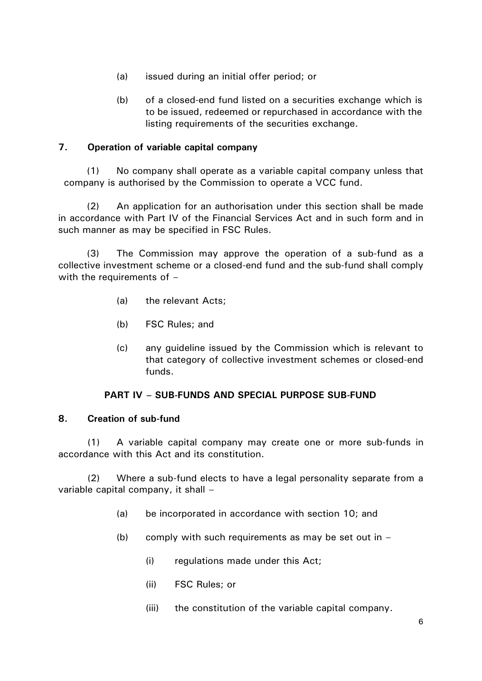- (a) issued during an initial offer period; or
- (b) of a closed-end fund listed on a securities exchange which is to be issued, redeemed or repurchased in accordance with the listing requirements of the securities exchange.

## **7. Operation of variable capital company**

(1) No company shall operate as a variable capital company unless that company is authorised by the Commission to operate a VCC fund.

(2) An application for an authorisation under this section shall be made in accordance with Part IV of the Financial Services Act and in such form and in such manner as may be specified in FSC Rules.

(3) The Commission may approve the operation of a sub-fund as a collective investment scheme or a closed-end fund and the sub-fund shall comply with the requirements of  $-$ 

- (a) the relevant Acts;
- (b) FSC Rules; and
- (c) any guideline issued by the Commission which is relevant to that category of collective investment schemes or closed-end funds.

## **PART IV – SUB-FUNDS AND SPECIAL PURPOSE SUB-FUND**

### **8. Creation of sub-fund**

(1) A variable capital company may create one or more sub-funds in accordance with this Act and its constitution.

(2) Where a sub-fund elects to have a legal personality separate from a variable capital company, it shall –

- (a) be incorporated in accordance with section 10; and
- (b) comply with such requirements as may be set out in  $-$ 
	- (i) regulations made under this Act;
	- (ii) FSC Rules; or
	- (iii) the constitution of the variable capital company.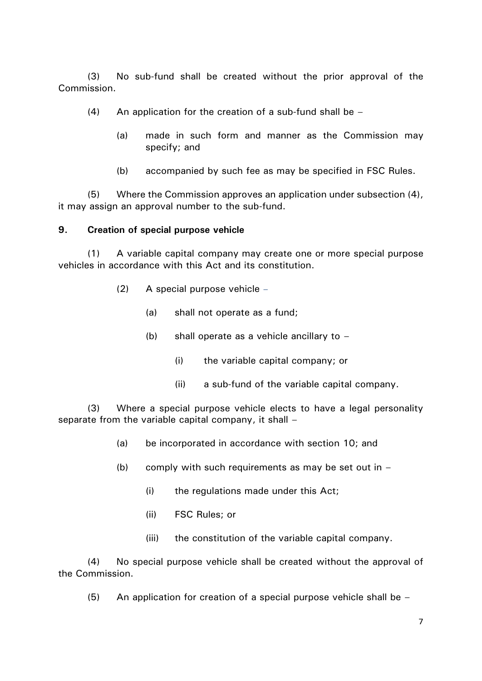(3) No sub-fund shall be created without the prior approval of the Commission.

- (4) An application for the creation of a sub-fund shall be  $-$ 
	- (a) made in such form and manner as the Commission may specify; and
	- (b) accompanied by such fee as may be specified in FSC Rules.

(5) Where the Commission approves an application under subsection (4), it may assign an approval number to the sub-fund.

#### **9. Creation of special purpose vehicle**

(1) A variable capital company may create one or more special purpose vehicles in accordance with this Act and its constitution.

- (2) A special purpose vehicle
	- (a) shall not operate as a fund;
	- (b) shall operate as a vehicle ancillary to
		- (i) the variable capital company; or
		- (ii) a sub-fund of the variable capital company.

(3) Where a special purpose vehicle elects to have a legal personality separate from the variable capital company, it shall –

- (a) be incorporated in accordance with section 10; and
- (b) comply with such requirements as may be set out in  $-$ 
	- (i) the regulations made under this Act;
	- (ii) FSC Rules; or
	- (iii) the constitution of the variable capital company.

(4) No special purpose vehicle shall be created without the approval of the Commission.

 $(5)$  An application for creation of a special purpose vehicle shall be –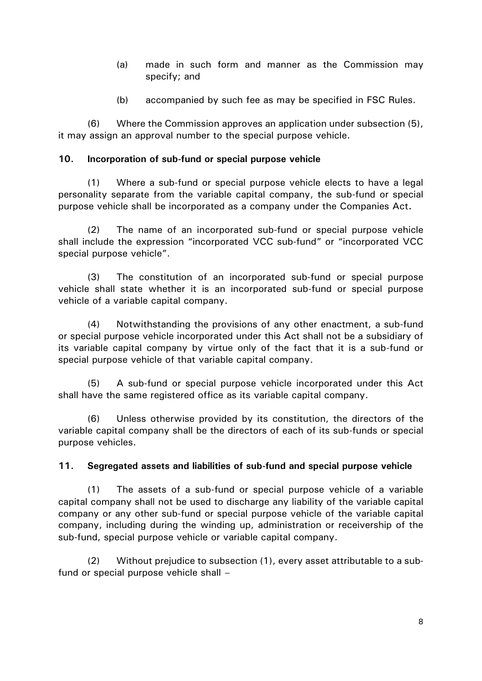- (a) made in such form and manner as the Commission may specify; and
- (b) accompanied by such fee as may be specified in FSC Rules.

(6) Where the Commission approves an application under subsection (5), it may assign an approval number to the special purpose vehicle.

### **10. Incorporation of sub-fund or special purpose vehicle**

(1) Where a sub-fund or special purpose vehicle elects to have a legal personality separate from the variable capital company, the sub-fund or special purpose vehicle shall be incorporated as a company under the Companies Act**.**

(2) The name of an incorporated sub-fund or special purpose vehicle shall include the expression "incorporated VCC sub-fund" or "incorporated VCC special purpose vehicle".

(3) The constitution of an incorporated sub-fund or special purpose vehicle shall state whether it is an incorporated sub-fund or special purpose vehicle of a variable capital company.

(4) Notwithstanding the provisions of any other enactment, a sub-fund or special purpose vehicle incorporated under this Act shall not be a subsidiary of its variable capital company by virtue only of the fact that it is a sub-fund or special purpose vehicle of that variable capital company.

(5) A sub-fund or special purpose vehicle incorporated under this Act shall have the same registered office as its variable capital company.

(6) Unless otherwise provided by its constitution, the directors of the variable capital company shall be the directors of each of its sub-funds or special purpose vehicles.

# **11. Segregated assets and liabilities of sub-fund and special purpose vehicle**

(1) The assets of a sub-fund or special purpose vehicle of a variable capital company shall not be used to discharge any liability of the variable capital company or any other sub-fund or special purpose vehicle of the variable capital company, including during the winding up, administration or receivership of the sub-fund, special purpose vehicle or variable capital company.

(2) Without prejudice to subsection (1), every asset attributable to a subfund or special purpose vehicle shall –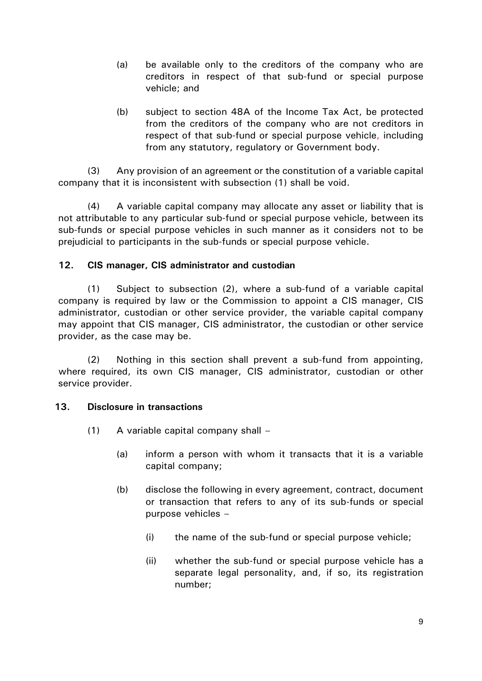- (a) be available only to the creditors of the company who are creditors in respect of that sub-fund or special purpose vehicle; and
- (b) subject to section 48A of the Income Tax Act, be protected from the creditors of the company who are not creditors in respect of that sub-fund or special purpose vehicle, including from any statutory, regulatory or Government body.

(3) Any provision of an agreement or the constitution of a variable capital company that it is inconsistent with subsection (1) shall be void.

(4) A variable capital company may allocate any asset or liability that is not attributable to any particular sub-fund or special purpose vehicle, between its sub-funds or special purpose vehicles in such manner as it considers not to be prejudicial to participants in the sub-funds or special purpose vehicle.

# **12. CIS manager, CIS administrator and custodian**

(1) Subject to subsection (2), where a sub-fund of a variable capital company is required by law or the Commission to appoint a CIS manager, CIS administrator, custodian or other service provider, the variable capital company may appoint that CIS manager, CIS administrator, the custodian or other service provider, as the case may be.

(2) Nothing in this section shall prevent a sub-fund from appointing, where required, its own CIS manager, CIS administrator, custodian or other service provider.

### **13. Disclosure in transactions**

- (1) A variable capital company shall
	- (a) inform a person with whom it transacts that it is a variable capital company;
	- (b) disclose the following in every agreement, contract, document or transaction that refers to any of its sub-funds or special purpose vehicles –
		- (i) the name of the sub-fund or special purpose vehicle;
		- (ii) whether the sub-fund or special purpose vehicle has a separate legal personality, and, if so, its registration number;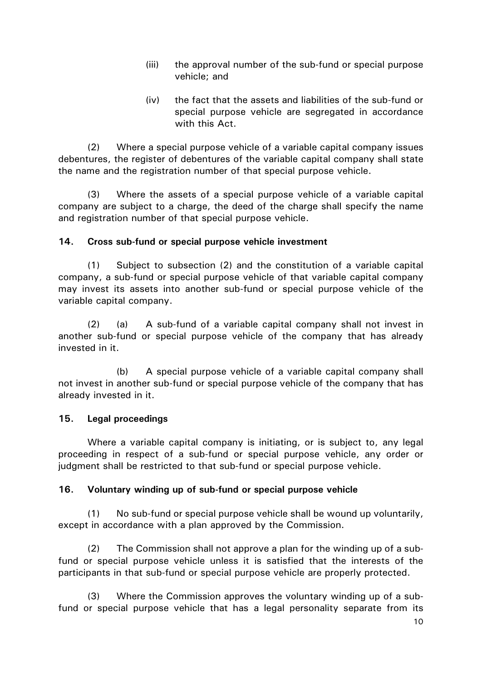- (iii) the approval number of the sub-fund or special purpose vehicle; and
- (iv) the fact that the assets and liabilities of the sub-fund or special purpose vehicle are segregated in accordance with this Act.

(2) Where a special purpose vehicle of a variable capital company issues debentures, the register of debentures of the variable capital company shall state the name and the registration number of that special purpose vehicle.

(3) Where the assets of a special purpose vehicle of a variable capital company are subject to a charge, the deed of the charge shall specify the name and registration number of that special purpose vehicle.

### **14. Cross sub-fund or special purpose vehicle investment**

(1) Subject to subsection (2) and the constitution of a variable capital company, a sub-fund or special purpose vehicle of that variable capital company may invest its assets into another sub-fund or special purpose vehicle of the variable capital company.

(2) (a) A sub-fund of a variable capital company shall not invest in another sub-fund or special purpose vehicle of the company that has already invested in it.

(b) A special purpose vehicle of a variable capital company shall not invest in another sub-fund or special purpose vehicle of the company that has already invested in it.

#### **15. Legal proceedings**

Where a variable capital company is initiating, or is subject to, any legal proceeding in respect of a sub-fund or special purpose vehicle, any order or judgment shall be restricted to that sub-fund or special purpose vehicle.

### **16. Voluntary winding up of sub-fund or special purpose vehicle**

(1) No sub-fund or special purpose vehicle shall be wound up voluntarily, except in accordance with a plan approved by the Commission.

(2) The Commission shall not approve a plan for the winding up of a subfund or special purpose vehicle unless it is satisfied that the interests of the participants in that sub-fund or special purpose vehicle are properly protected.

(3) Where the Commission approves the voluntary winding up of a subfund or special purpose vehicle that has a legal personality separate from its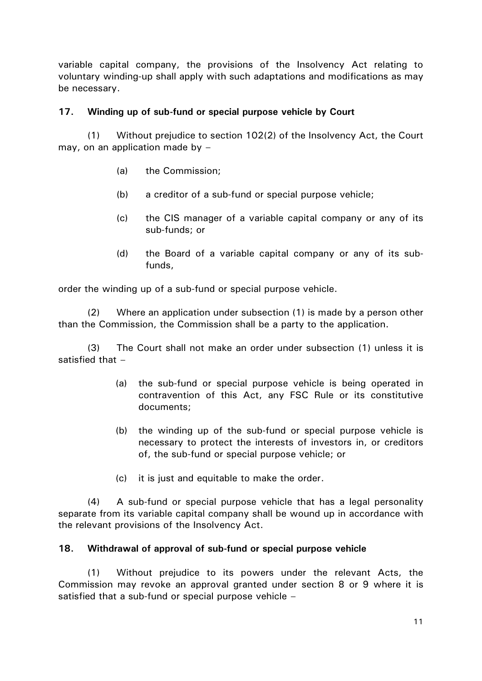variable capital company, the provisions of the Insolvency Act relating to voluntary winding-up shall apply with such adaptations and modifications as may be necessary.

## **17. Winding up of sub-fund or special purpose vehicle by Court**

(1) Without prejudice to section 102(2) of the Insolvency Act, the Court may, on an application made by  $-$ 

- (a) the Commission;
- (b) a creditor of a sub-fund or special purpose vehicle;
- (c) the CIS manager of a variable capital company or any of its sub-funds; or
- (d) the Board of a variable capital company or any of its subfunds,

order the winding up of a sub-fund or special purpose vehicle.

(2) Where an application under subsection (1) is made by a person other than the Commission, the Commission shall be a party to the application.

(3) The Court shall not make an order under subsection (1) unless it is satisfied that –

- (a) the sub-fund or special purpose vehicle is being operated in contravention of this Act, any FSC Rule or its constitutive documents;
- (b) the winding up of the sub-fund or special purpose vehicle is necessary to protect the interests of investors in, or creditors of, the sub-fund or special purpose vehicle; or
- (c) it is just and equitable to make the order.

(4) A sub-fund or special purpose vehicle that has a legal personality separate from its variable capital company shall be wound up in accordance with the relevant provisions of the Insolvency Act.

### **18. Withdrawal of approval of sub-fund or special purpose vehicle**

(1) Without prejudice to its powers under the relevant Acts, the Commission may revoke an approval granted under section 8 or 9 where it is satisfied that a sub-fund or special purpose vehicle –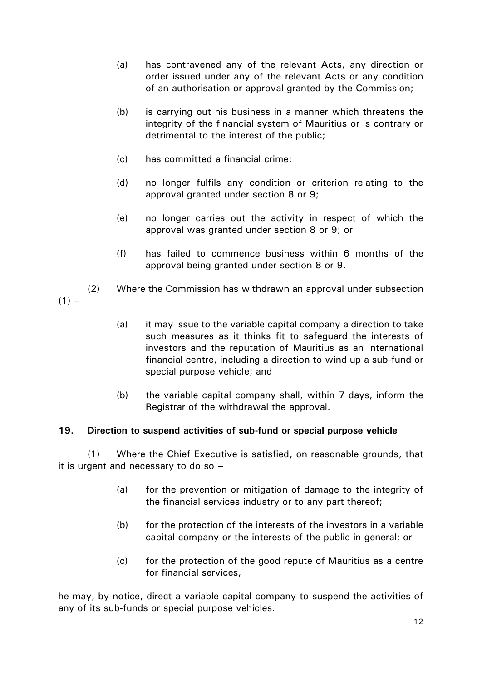- (a) has contravened any of the relevant Acts, any direction or order issued under any of the relevant Acts or any condition of an authorisation or approval granted by the Commission;
- (b) is carrying out his business in a manner which threatens the integrity of the financial system of Mauritius or is contrary or detrimental to the interest of the public;
- (c) has committed a financial crime;
- (d) no longer fulfils any condition or criterion relating to the approval granted under section 8 or 9;
- (e) no longer carries out the activity in respect of which the approval was granted under section 8 or 9; or
- (f) has failed to commence business within 6 months of the approval being granted under section 8 or 9.
- (2) Where the Commission has withdrawn an approval under subsection  $(1) -$ 
	- (a) it may issue to the variable capital company a direction to take such measures as it thinks fit to safeguard the interests of investors and the reputation of Mauritius as an international financial centre, including a direction to wind up a sub-fund or special purpose vehicle; and
	- (b) the variable capital company shall, within 7 days, inform the Registrar of the withdrawal the approval.

# **19. Direction to suspend activities of sub-fund or special purpose vehicle**

(1) Where the Chief Executive is satisfied, on reasonable grounds, that it is urgent and necessary to do so –

- (a) for the prevention or mitigation of damage to the integrity of the financial services industry or to any part thereof;
- (b) for the protection of the interests of the investors in a variable capital company or the interests of the public in general; or
- (c) for the protection of the good repute of Mauritius as a centre for financial services,

he may, by notice, direct a variable capital company to suspend the activities of any of its sub-funds or special purpose vehicles.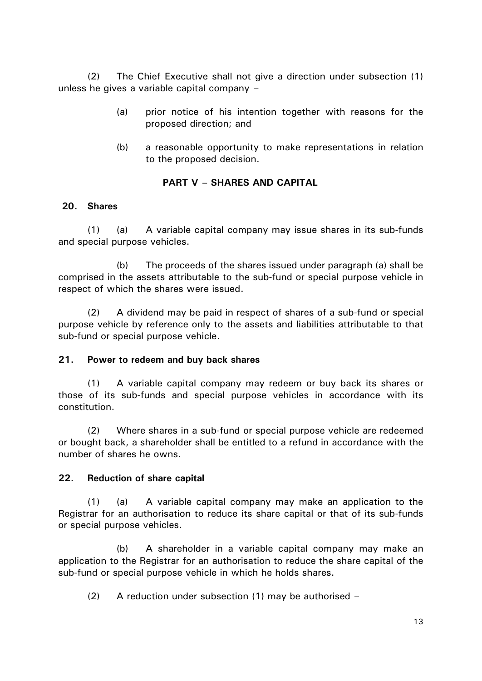(2) The Chief Executive shall not give a direction under subsection (1) unless he gives a variable capital company –

- (a) prior notice of his intention together with reasons for the proposed direction; and
- (b) a reasonable opportunity to make representations in relation to the proposed decision.

# **PART V – SHARES AND CAPITAL**

### **20. Shares**

(1) (a) A variable capital company may issue shares in its sub-funds and special purpose vehicles.

(b) The proceeds of the shares issued under paragraph (a) shall be comprised in the assets attributable to the sub-fund or special purpose vehicle in respect of which the shares were issued.

(2) A dividend may be paid in respect of shares of a sub-fund or special purpose vehicle by reference only to the assets and liabilities attributable to that sub-fund or special purpose vehicle.

### **21. Power to redeem and buy back shares**

(1) A variable capital company may redeem or buy back its shares or those of its sub-funds and special purpose vehicles in accordance with its constitution.

(2) Where shares in a sub-fund or special purpose vehicle are redeemed or bought back, a shareholder shall be entitled to a refund in accordance with the number of shares he owns.

# **22. Reduction of share capital**

(1) (a) A variable capital company may make an application to the Registrar for an authorisation to reduce its share capital or that of its sub-funds or special purpose vehicles.

(b) A shareholder in a variable capital company may make an application to the Registrar for an authorisation to reduce the share capital of the sub-fund or special purpose vehicle in which he holds shares.

(2) A reduction under subsection (1) may be authorised –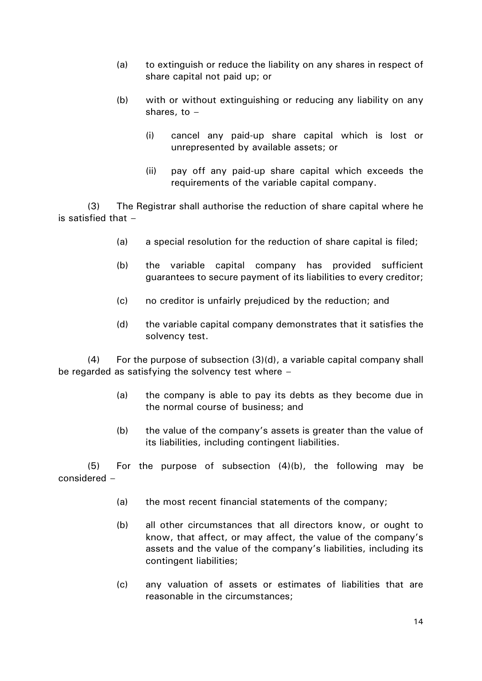- (a) to extinguish or reduce the liability on any shares in respect of share capital not paid up; or
- (b) with or without extinguishing or reducing any liability on any shares, to –
	- (i) cancel any paid-up share capital which is lost or unrepresented by available assets; or
	- (ii) pay off any paid-up share capital which exceeds the requirements of the variable capital company.

(3) The Registrar shall authorise the reduction of share capital where he is satisfied that –

- (a) a special resolution for the reduction of share capital is filed;
- (b) the variable capital company has provided sufficient guarantees to secure payment of its liabilities to every creditor;
- (c) no creditor is unfairly prejudiced by the reduction; and
- (d) the variable capital company demonstrates that it satisfies the solvency test.

 $(4)$  For the purpose of subsection  $(3)(d)$ , a variable capital company shall be regarded as satisfying the solvency test where –

- (a) the company is able to pay its debts as they become due in the normal course of business; and
- (b) the value of the company's assets is greater than the value of its liabilities, including contingent liabilities.

(5) For the purpose of subsection (4)(b), the following may be considered –

- (a) the most recent financial statements of the company;
- (b) all other circumstances that all directors know, or ought to know, that affect, or may affect, the value of the company's assets and the value of the company's liabilities, including its contingent liabilities;
- (c) any valuation of assets or estimates of liabilities that are reasonable in the circumstances;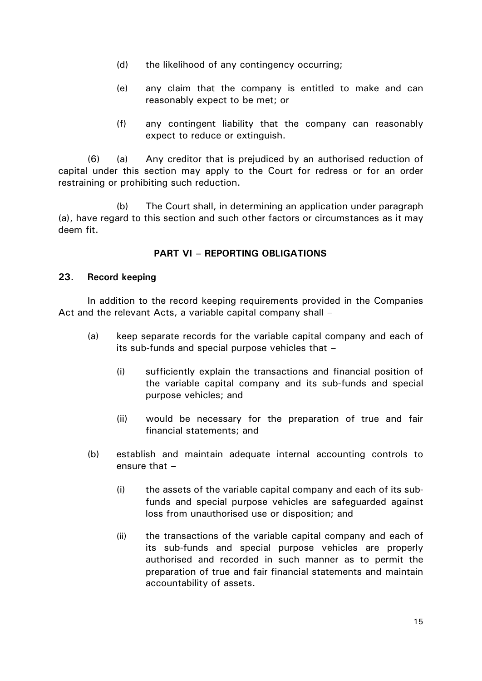- (d) the likelihood of any contingency occurring;
- (e) any claim that the company is entitled to make and can reasonably expect to be met; or
- (f) any contingent liability that the company can reasonably expect to reduce or extinguish.

(6) (a) Any creditor that is prejudiced by an authorised reduction of capital under this section may apply to the Court for redress or for an order restraining or prohibiting such reduction.

(b) The Court shall, in determining an application under paragraph (a), have regard to this section and such other factors or circumstances as it may deem fit.

# **PART VI – REPORTING OBLIGATIONS**

#### **23. Record keeping**

In addition to the record keeping requirements provided in the Companies Act and the relevant Acts, a variable capital company shall –

- (a) keep separate records for the variable capital company and each of its sub-funds and special purpose vehicles that –
	- (i) sufficiently explain the transactions and financial position of the variable capital company and its sub-funds and special purpose vehicles; and
	- (ii) would be necessary for the preparation of true and fair financial statements; and
- (b) establish and maintain adequate internal accounting controls to ensure that –
	- (i) the assets of the variable capital company and each of its subfunds and special purpose vehicles are safeguarded against loss from unauthorised use or disposition; and
	- (ii) the transactions of the variable capital company and each of its sub-funds and special purpose vehicles are properly authorised and recorded in such manner as to permit the preparation of true and fair financial statements and maintain accountability of assets.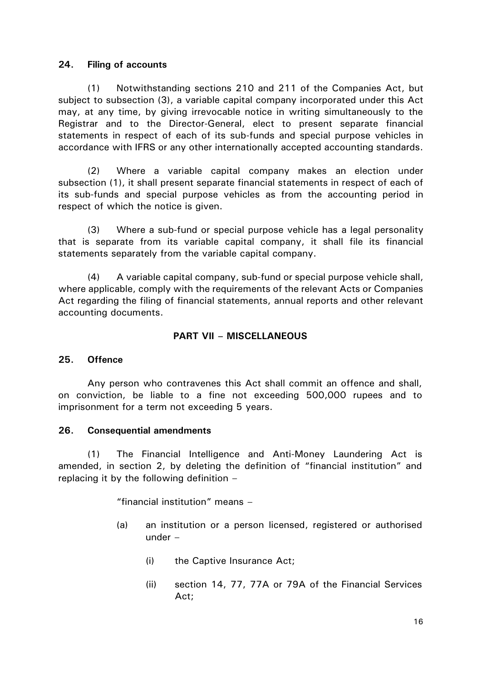#### **24. Filing of accounts**

(1) Notwithstanding sections 210 and 211 of the Companies Act, but subject to subsection (3), a variable capital company incorporated under this Act may, at any time, by giving irrevocable notice in writing simultaneously to the Registrar and to the Director-General, elect to present separate financial statements in respect of each of its sub-funds and special purpose vehicles in accordance with IFRS or any other internationally accepted accounting standards.

(2) Where a variable capital company makes an election under subsection (1), it shall present separate financial statements in respect of each of its sub-funds and special purpose vehicles as from the accounting period in respect of which the notice is given.

(3) Where a sub-fund or special purpose vehicle has a legal personality that is separate from its variable capital company, it shall file its financial statements separately from the variable capital company.

(4) A variable capital company, sub-fund or special purpose vehicle shall, where applicable, comply with the requirements of the relevant Acts or Companies Act regarding the filing of financial statements, annual reports and other relevant accounting documents.

### **PART VII – MISCELLANEOUS**

### **25. Offence**

Any person who contravenes this Act shall commit an offence and shall, on conviction, be liable to a fine not exceeding 500,000 rupees and to imprisonment for a term not exceeding 5 years.

#### **26. Consequential amendments**

(1) The Financial Intelligence and Anti-Money Laundering Act is amended, in section 2, by deleting the definition of "financial institution" and replacing it by the following definition –

"financial institution" means –

- (a) an institution or a person licensed, registered or authorised under –
	- (i) the Captive Insurance Act;
	- (ii) section 14, 77, 77A or 79A of the Financial Services Act;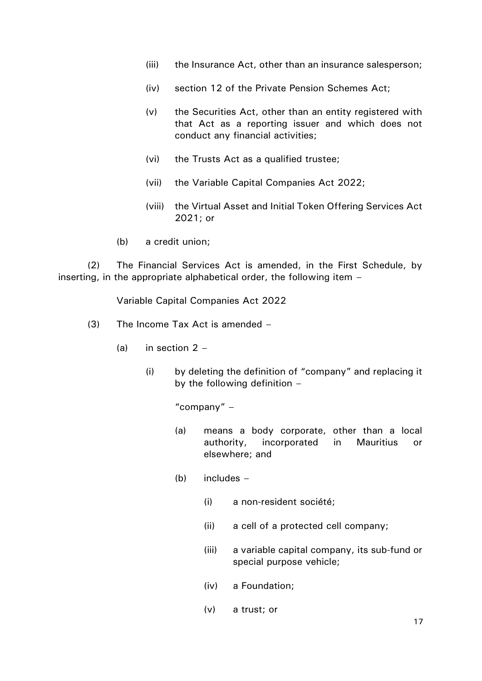- (iii) the Insurance Act, other than an insurance salesperson;
- (iv) section 12 of the Private Pension Schemes Act;
- (v) the Securities Act, other than an entity registered with that Act as a reporting issuer and which does not conduct any financial activities;
- (vi) the Trusts Act as a qualified trustee;
- (vii) the Variable Capital Companies Act 2022;
- (viii) the Virtual Asset and Initial Token Offering Services Act 2021; or
- (b) a credit union;

(2) The Financial Services Act is amended, in the First Schedule, by inserting, in the appropriate alphabetical order, the following item –

Variable Capital Companies Act 2022

- (3) The Income Tax Act is amended
	- (a) in section  $2 -$ 
		- (i) by deleting the definition of "company" and replacing it by the following definition –

"company" –

- (a) means a body corporate, other than a local authority, incorporated in Mauritius or elsewhere; and
- (b) includes
	- (i) a non-resident société;
	- (ii) a cell of a protected cell company;
	- (iii) a variable capital company, its sub-fund or special purpose vehicle;
	- (iv) a Foundation;
	- (v) a trust; or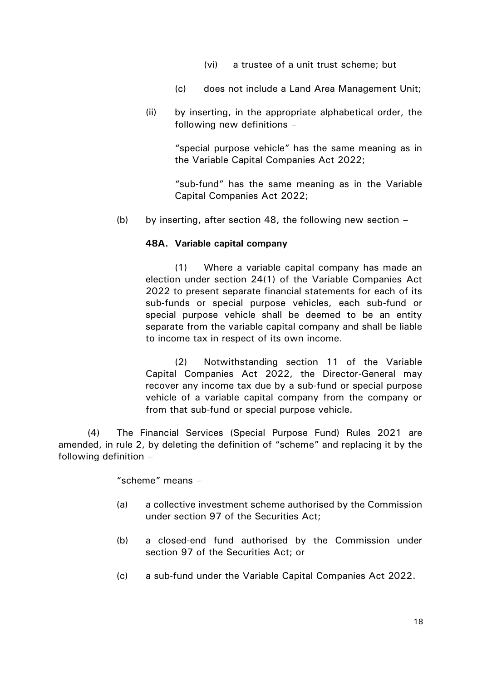- (vi) a trustee of a unit trust scheme; but
- (c) does not include a Land Area Management Unit;
- (ii) by inserting, in the appropriate alphabetical order, the following new definitions –

"special purpose vehicle" has the same meaning as in the Variable Capital Companies Act 2022;

"sub-fund" has the same meaning as in the Variable Capital Companies Act 2022;

(b) by inserting, after section 48, the following new section  $-$ 

#### **48A. Variable capital company**

(1) Where a variable capital company has made an election under section 24(1) of the Variable Companies Act 2022 to present separate financial statements for each of its sub-funds or special purpose vehicles, each sub-fund or special purpose vehicle shall be deemed to be an entity separate from the variable capital company and shall be liable to income tax in respect of its own income.

(2) Notwithstanding section 11 of the Variable Capital Companies Act 2022, the Director-General may recover any income tax due by a sub-fund or special purpose vehicle of a variable capital company from the company or from that sub-fund or special purpose vehicle.

(4) The Financial Services (Special Purpose Fund) Rules 2021 are amended, in rule 2, by deleting the definition of "scheme" and replacing it by the following definition –

"scheme" means –

- (a) a collective investment scheme authorised by the Commission under section 97 of the Securities Act;
- (b) a closed-end fund authorised by the Commission under section 97 of the Securities Act; or
- (c) a sub-fund under the Variable Capital Companies Act 2022.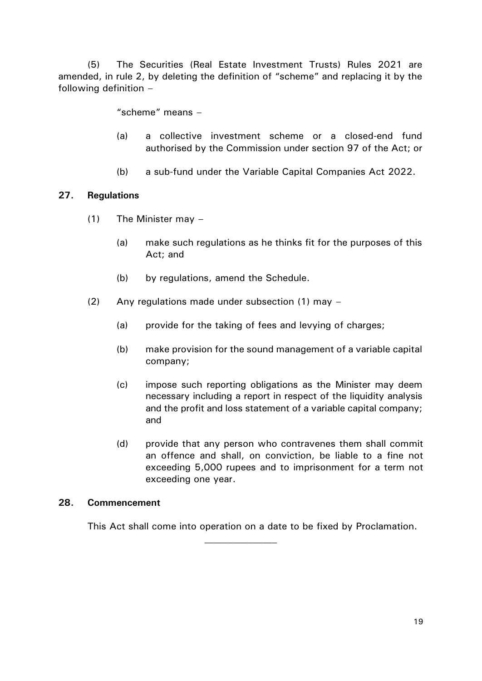(5) The Securities (Real Estate Investment Trusts) Rules 2021 are amended, in rule 2, by deleting the definition of "scheme" and replacing it by the following definition –

"scheme" means –

- (a) a collective investment scheme or a closed-end fund authorised by the Commission under section 97 of the Act; or
- (b) a sub-fund under the Variable Capital Companies Act 2022.

### **27. Regulations**

- (1) The Minister may
	- (a) make such regulations as he thinks fit for the purposes of this Act; and
	- (b) by regulations, amend the Schedule.
- (2) Any regulations made under subsection (1) may
	- (a) provide for the taking of fees and levying of charges;
	- (b) make provision for the sound management of a variable capital company;
	- (c) impose such reporting obligations as the Minister may deem necessary including a report in respect of the liquidity analysis and the profit and loss statement of a variable capital company; and
	- (d) provide that any person who contravenes them shall commit an offence and shall, on conviction, be liable to a fine not exceeding 5,000 rupees and to imprisonment for a term not exceeding one year.

#### **28. Commencement**

This Act shall come into operation on a date to be fixed by Proclamation.